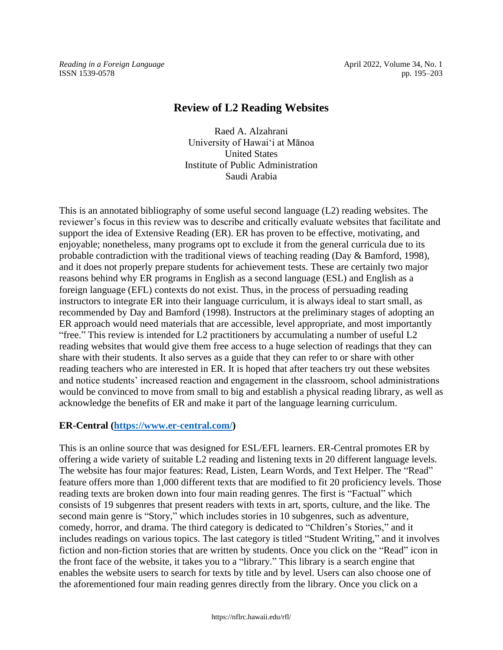*Reading in a Foreign Language* **April 2022, Volume 34, No. 1** April 2022, Volume 34, No. 1 ISSN 1539-0578 pp. 195–203

# **Review of L2 Reading Websites**

Raed A. Alzahrani University of Hawaiʻi at Mānoa United States Institute of Public Administration Saudi Arabia

This is an annotated bibliography of some useful second language (L2) reading websites. The reviewer's focus in this review was to describe and critically evaluate websites that facilitate and support the idea of Extensive Reading (ER). ER has proven to be effective, motivating, and enjoyable; nonetheless, many programs opt to exclude it from the general curricula due to its probable contradiction with the traditional views of teaching reading (Day & Bamford, 1998), and it does not properly prepare students for achievement tests. These are certainly two major reasons behind why ER programs in English as a second language (ESL) and English as a foreign language (EFL) contexts do not exist. Thus, in the process of persuading reading instructors to integrate ER into their language curriculum, it is always ideal to start small, as recommended by Day and Bamford (1998). Instructors at the preliminary stages of adopting an ER approach would need materials that are accessible, level appropriate, and most importantly "free." This review is intended for L2 practitioners by accumulating a number of useful L2 reading websites that would give them free access to a huge selection of readings that they can share with their students. It also serves as a guide that they can refer to or share with other reading teachers who are interested in ER. It is hoped that after teachers try out these websites and notice students' increased reaction and engagement in the classroom, school administrations would be convinced to move from small to big and establish a physical reading library, as well as acknowledge the benefits of ER and make it part of the language learning curriculum.

# **ER-Central [\(https://www.er-central.com/\)](https://www.er-central.com/)**

This is an online source that was designed for ESL/EFL learners. ER-Central promotes ER by offering a wide variety of suitable L2 reading and listening texts in 20 different language levels. The website has four major features: Read, Listen, Learn Words, and Text Helper. The "Read" feature offers more than 1,000 different texts that are modified to fit 20 proficiency levels. Those reading texts are broken down into four main reading genres. The first is "Factual" which consists of 19 subgenres that present readers with texts in art, sports, culture, and the like. The second main genre is "Story," which includes stories in 10 subgenres, such as adventure, comedy, horror, and drama. The third category is dedicated to "Children's Stories," and it includes readings on various topics. The last category is titled "Student Writing," and it involves fiction and non-fiction stories that are written by students. Once you click on the "Read" icon in the front face of the website, it takes you to a "library." This library is a search engine that enables the website users to search for texts by title and by level. Users can also choose one of the aforementioned four main reading genres directly from the library. Once you click on a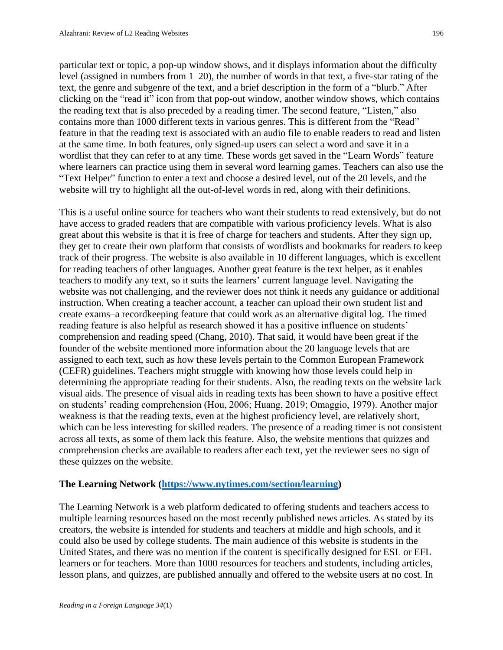particular text or topic, a pop-up window shows, and it displays information about the difficulty level (assigned in numbers from 1–20), the number of words in that text, a five-star rating of the text, the genre and subgenre of the text, and a brief description in the form of a "blurb." After clicking on the "read it" icon from that pop-out window, another window shows, which contains the reading text that is also preceded by a reading timer. The second feature, "Listen," also contains more than 1000 different texts in various genres. This is different from the "Read" feature in that the reading text is associated with an audio file to enable readers to read and listen at the same time. In both features, only signed-up users can select a word and save it in a wordlist that they can refer to at any time. These words get saved in the "Learn Words" feature where learners can practice using them in several word learning games. Teachers can also use the "Text Helper" function to enter a text and choose a desired level, out of the 20 levels, and the website will try to highlight all the out-of-level words in red, along with their definitions.

This is a useful online source for teachers who want their students to read extensively, but do not have access to graded readers that are compatible with various proficiency levels. What is also great about this website is that it is free of charge for teachers and students. After they sign up, they get to create their own platform that consists of wordlists and bookmarks for readers to keep track of their progress. The website is also available in 10 different languages, which is excellent for reading teachers of other languages. Another great feature is the text helper, as it enables teachers to modify any text, so it suits the learners' current language level. Navigating the website was not challenging, and the reviewer does not think it needs any guidance or additional instruction. When creating a teacher account, a teacher can upload their own student list and create exams–a recordkeeping feature that could work as an alternative digital log. The timed reading feature is also helpful as research showed it has a positive influence on students' comprehension and reading speed (Chang, 2010). That said, it would have been great if the founder of the website mentioned more information about the 20 language levels that are assigned to each text, such as how these levels pertain to the Common European Framework (CEFR) guidelines. Teachers might struggle with knowing how those levels could help in determining the appropriate reading for their students. Also, the reading texts on the website lack visual aids. The presence of visual aids in reading texts has been shown to have a positive effect on students' reading comprehension (Hou, 2006; Huang, 2019; Omaggio, 1979). Another major weakness is that the reading texts, even at the highest proficiency level, are relatively short, which can be less interesting for skilled readers. The presence of a reading timer is not consistent across all texts, as some of them lack this feature. Also, the website mentions that quizzes and comprehension checks are available to readers after each text, yet the reviewer sees no sign of these quizzes on the website.

#### **The Learning Network [\(https://www.nytimes.com/section/learning\)](https://www.nytimes.com/section/learning)**

The Learning Network is a web platform dedicated to offering students and teachers access to multiple learning resources based on the most recently published news articles. As stated by its creators, the website is intended for students and teachers at middle and high schools, and it could also be used by college students. The main audience of this website is students in the United States, and there was no mention if the content is specifically designed for ESL or EFL learners or for teachers. More than 1000 resources for teachers and students, including articles, lesson plans, and quizzes, are published annually and offered to the website users at no cost. In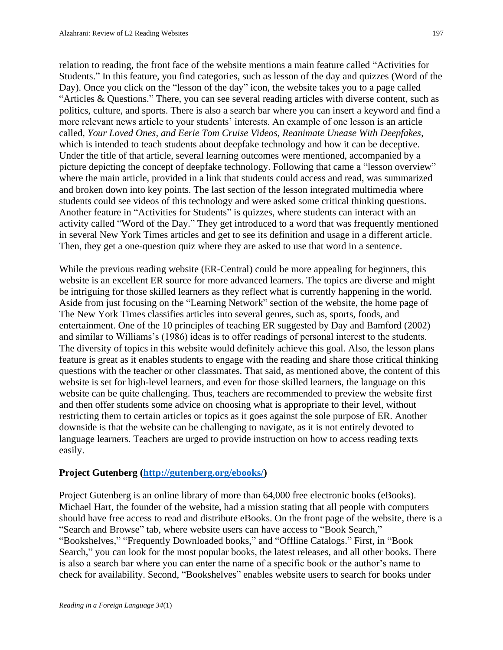relation to reading, the front face of the website mentions a main feature called "Activities for Students." In this feature, you find categories, such as lesson of the day and quizzes (Word of the Day). Once you click on the "lesson of the day" icon, the website takes you to a page called "Articles & Questions." There, you can see several reading articles with diverse content, such as politics, culture, and sports. There is also a search bar where you can insert a keyword and find a more relevant news article to your students' interests. An example of one lesson is an article called, *Your Loved Ones, and Eerie Tom Cruise Videos, Reanimate Unease With Deepfakes*, which is intended to teach students about deepfake technology and how it can be deceptive. Under the title of that article, several learning outcomes were mentioned, accompanied by a picture depicting the concept of deepfake technology. Following that came a "lesson overview" where the main article, provided in a link that students could access and read, was summarized and broken down into key points. The last section of the lesson integrated multimedia where students could see videos of this technology and were asked some critical thinking questions. Another feature in "Activities for Students" is quizzes, where students can interact with an activity called "Word of the Day." They get introduced to a word that was frequently mentioned in several New York Times articles and get to see its definition and usage in a different article. Then, they get a one-question quiz where they are asked to use that word in a sentence.

While the previous reading website (ER-Central) could be more appealing for beginners, this website is an excellent ER source for more advanced learners. The topics are diverse and might be intriguing for those skilled learners as they reflect what is currently happening in the world. Aside from just focusing on the "Learning Network" section of the website, the home page of The New York Times classifies articles into several genres, such as, sports, foods, and entertainment. One of the 10 principles of teaching ER suggested by Day and Bamford (2002) and similar to Williams's (1986) ideas is to offer readings of personal interest to the students. The diversity of topics in this website would definitely achieve this goal. Also, the lesson plans feature is great as it enables students to engage with the reading and share those critical thinking questions with the teacher or other classmates. That said, as mentioned above, the content of this website is set for high-level learners, and even for those skilled learners, the language on this website can be quite challenging. Thus, teachers are recommended to preview the website first and then offer students some advice on choosing what is appropriate to their level, without restricting them to certain articles or topics as it goes against the sole purpose of ER. Another downside is that the website can be challenging to navigate, as it is not entirely devoted to language learners. Teachers are urged to provide instruction on how to access reading texts easily.

# **Project Gutenberg [\(http://gutenberg.org/ebooks/\)](http://gutenberg.org/ebooks/)**

Project Gutenberg is an online library of more than 64,000 free electronic books (eBooks). Michael Hart, the founder of the website, had a mission stating that all people with computers should have free access to read and distribute eBooks. On the front page of the website, there is a "Search and Browse" tab, where website users can have access to "Book Search," "Bookshelves," "Frequently Downloaded books," and "Offline Catalogs." First, in "Book Search," you can look for the most popular books, the latest releases, and all other books. There is also a search bar where you can enter the name of a specific book or the author's name to check for availability. Second, "Bookshelves" enables website users to search for books under

197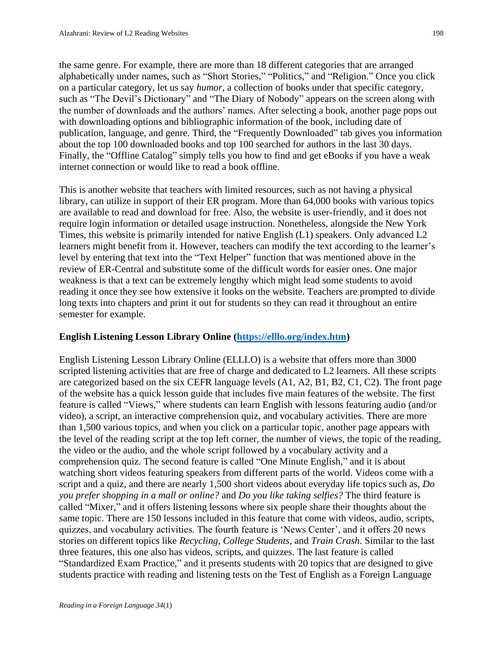the same genre. For example, there are more than 18 different categories that are arranged alphabetically under names, such as "Short Stories," "Politics," and "Religion." Once you click on a particular category, let us say *humor*, a collection of books under that specific category, such as "The Devil's Dictionary" and "The Diary of Nobody" appears on the screen along with the number of downloads and the authors' names. After selecting a book, another page pops out with downloading options and bibliographic information of the book, including date of publication, language, and genre. Third, the "Frequently Downloaded" tab gives you information about the top 100 downloaded books and top 100 searched for authors in the last 30 days. Finally, the "Offline Catalog" simply tells you how to find and get eBooks if you have a weak internet connection or would like to read a book offline.

This is another website that teachers with limited resources, such as not having a physical library, can utilize in support of their ER program. More than 64,000 books with various topics are available to read and download for free. Also, the website is user-friendly, and it does not require login information or detailed usage instruction. Nonetheless, alongside the New York Times, this website is primarily intended for native English (L1) speakers. Only advanced L2 learners might benefit from it. However, teachers can modify the text according to the learner's level by entering that text into the "Text Helper" function that was mentioned above in the review of ER-Central and substitute some of the difficult words for easier ones. One major weakness is that a text can be extremely lengthy which might lead some students to avoid reading it once they see how extensive it looks on the website. Teachers are prompted to divide long texts into chapters and print it out for students so they can read it throughout an entire semester for example.

# **English Listening Lesson Library Online [\(https://elllo.org/index.htm\)](https://elllo.org/index.htm)**

English Listening Lesson Library Online (ELLLO) is a website that offers more than 3000 scripted listening activities that are free of charge and dedicated to L2 learners. All these scripts are categorized based on the six CEFR language levels (A1, A2, B1, B2, C1, C2). The front page of the website has a quick lesson guide that includes five main features of the website. The first feature is called "Views," where students can learn English with lessons featuring audio (and/or video), a script, an interactive comprehension quiz, and vocabulary activities. There are more than 1,500 various topics, and when you click on a particular topic, another page appears with the level of the reading script at the top left corner, the number of views, the topic of the reading, the video or the audio, and the whole script followed by a vocabulary activity and a comprehension quiz. The second feature is called "One Minute English," and it is about watching short videos featuring speakers from different parts of the world. Videos come with a script and a quiz, and there are nearly 1,500 short videos about everyday life topics such as, *Do you prefer shopping in a mall or online?* and *Do you like taking selfies?* The third feature is called "Mixer," and it offers listening lessons where six people share their thoughts about the same topic. There are 150 lessons included in this feature that come with videos, audio, scripts, quizzes, and vocabulary activities. The fourth feature is 'News Center', and it offers 20 news stories on different topics like *Recycling*, *College Students*, and *Train Crash*. Similar to the last three features, this one also has videos, scripts, and quizzes. The last feature is called "Standardized Exam Practice," and it presents students with 20 topics that are designed to give students practice with reading and listening tests on the Test of English as a Foreign Language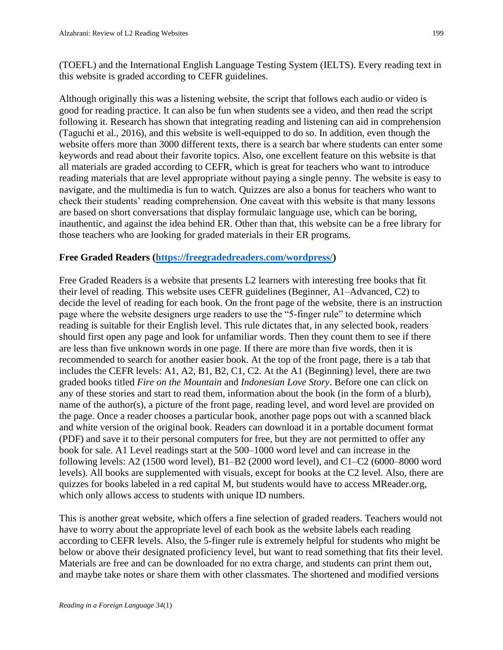(TOEFL) and the International English Language Testing System (IELTS). Every reading text in this website is graded according to CEFR guidelines.

Although originally this was a listening website, the script that follows each audio or video is good for reading practice. It can also be fun when students see a video, and then read the script following it. Research has shown that integrating reading and listening can aid in comprehension (Taguchi et al., 2016), and this website is well-equipped to do so. In addition, even though the website offers more than 3000 different texts, there is a search bar where students can enter some keywords and read about their favorite topics. Also, one excellent feature on this website is that all materials are graded according to CEFR, which is great for teachers who want to introduce reading materials that are level appropriate without paying a single penny. The website is easy to navigate, and the multimedia is fun to watch. Quizzes are also a bonus for teachers who want to check their students' reading comprehension. One caveat with this website is that many lessons are based on short conversations that display formulaic language use, which can be boring, inauthentic, and against the idea behind ER. Other than that, this website can be a free library for those teachers who are looking for graded materials in their ER programs.

### **Free Graded Readers [\(https://freegradedreaders.com/wordpress/\)](https://freegradedreaders.com/wordpress/)**

Free Graded Readers is a website that presents L2 learners with interesting free books that fit their level of reading. This website uses CEFR guidelines (Beginner, A1–Advanced, C2) to decide the level of reading for each book. On the front page of the website, there is an instruction page where the website designers urge readers to use the "5-finger rule" to determine which reading is suitable for their English level. This rule dictates that, in any selected book, readers should first open any page and look for unfamiliar words. Then they count them to see if there are less than five unknown words in one page. If there are more than five words, then it is recommended to search for another easier book. At the top of the front page, there is a tab that includes the CEFR levels: A1, A2, B1, B2, C1, C2. At the A1 (Beginning) level, there are two graded books titled *Fire on the Mountain* and *Indonesian Love Story*. Before one can click on any of these stories and start to read them, information about the book (in the form of a blurb), name of the author(s), a picture of the front page, reading level, and word level are provided on the page. Once a reader chooses a particular book, another page pops out with a scanned black and white version of the original book. Readers can download it in a portable document format (PDF) and save it to their personal computers for free, but they are not permitted to offer any book for sale. A1 Level readings start at the 500–1000 word level and can increase in the following levels: A2 (1500 word level), B1–B2 (2000 word level), and C1–C2 (6000–8000 word levels). All books are supplemented with visuals, except for books at the C2 level. Also, there are quizzes for books labeled in a red capital M, but students would have to access MReader.org, which only allows access to students with unique ID numbers.

This is another great website, which offers a fine selection of graded readers. Teachers would not have to worry about the appropriate level of each book as the website labels each reading according to CEFR levels. Also, the 5-finger rule is extremely helpful for students who might be below or above their designated proficiency level, but want to read something that fits their level. Materials are free and can be downloaded for no extra charge, and students can print them out, and maybe take notes or share them with other classmates. The shortened and modified versions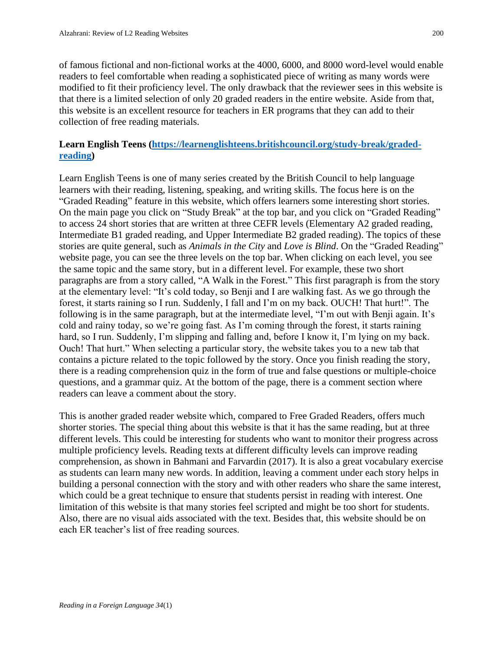of famous fictional and non-fictional works at the 4000, 6000, and 8000 word-level would enable readers to feel comfortable when reading a sophisticated piece of writing as many words were modified to fit their proficiency level. The only drawback that the reviewer sees in this website is that there is a limited selection of only 20 graded readers in the entire website. Aside from that, this website is an excellent resource for teachers in ER programs that they can add to their collection of free reading materials.

# **Learn English Teens [\(https://learnenglishteens.britishcouncil.org/study-break/graded](https://learnenglishteens.britishcouncil.org/study-break/graded-reading)[reading\)](https://learnenglishteens.britishcouncil.org/study-break/graded-reading)**

Learn English Teens is one of many series created by the British Council to help language learners with their reading, listening, speaking, and writing skills. The focus here is on the "Graded Reading" feature in this website, which offers learners some interesting short stories. On the main page you click on "Study Break" at the top bar, and you click on "Graded Reading" to access 24 short stories that are written at three CEFR levels (Elementary A2 graded reading, Intermediate B1 graded reading, and Upper Intermediate B2 graded reading). The topics of these stories are quite general, such as *Animals in the City* and *Love is Blind*. On the "Graded Reading" website page, you can see the three levels on the top bar. When clicking on each level, you see the same topic and the same story, but in a different level. For example, these two short paragraphs are from a story called, "A Walk in the Forest." This first paragraph is from the story at the elementary level: "It's cold today, so Benji and I are walking fast. As we go through the forest, it starts raining so I run. Suddenly, I fall and I'm on my back. OUCH! That hurt!". The following is in the same paragraph, but at the intermediate level, "I'm out with Benji again. It's cold and rainy today, so we're going fast. As I'm coming through the forest, it starts raining hard, so I run. Suddenly, I'm slipping and falling and, before I know it, I'm lying on my back. Ouch! That hurt." When selecting a particular story, the website takes you to a new tab that contains a picture related to the topic followed by the story. Once you finish reading the story, there is a reading comprehension quiz in the form of true and false questions or multiple-choice questions, and a grammar quiz. At the bottom of the page, there is a comment section where readers can leave a comment about the story.

This is another graded reader website which, compared to Free Graded Readers, offers much shorter stories. The special thing about this website is that it has the same reading, but at three different levels. This could be interesting for students who want to monitor their progress across multiple proficiency levels. Reading texts at different difficulty levels can improve reading comprehension, as shown in Bahmani and Farvardin (2017). It is also a great vocabulary exercise as students can learn many new words. In addition, leaving a comment under each story helps in building a personal connection with the story and with other readers who share the same interest, which could be a great technique to ensure that students persist in reading with interest. One limitation of this website is that many stories feel scripted and might be too short for students. Also, there are no visual aids associated with the text. Besides that, this website should be on each ER teacher's list of free reading sources.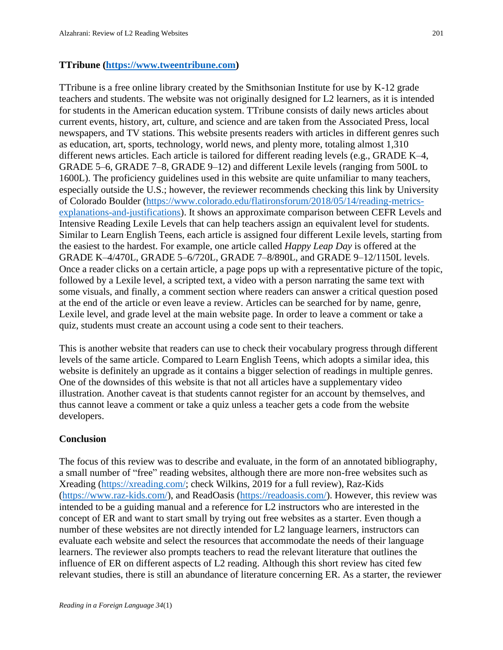### **TTribune [\(https://www.tweentribune.com\)](https://www.tweentribune.com/)**

TTribune is a free online library created by the Smithsonian Institute for use by K-12 grade teachers and students. The website was not originally designed for L2 learners, as it is intended for students in the American education system. TTribune consists of daily news articles about current events, history, art, culture, and science and are taken from the Associated Press, local newspapers, and TV stations. This website presents readers with articles in different genres such as education, art, sports, technology, world news, and plenty more, totaling almost 1,310 different news articles. Each article is tailored for different reading levels (e.g., GRADE K–4, GRADE 5–6, GRADE 7–8, GRADE 9–12) and different Lexile levels (ranging from 500L to 1600L). The proficiency guidelines used in this website are quite unfamiliar to many teachers, especially outside the U.S.; however, the reviewer recommends checking this link by University of Colorado Boulder [\(https://www.colorado.edu/flatironsforum/2018/05/14/reading-metrics](https://www.colorado.edu/flatironsforum/2018/05/14/reading-metrics-explanations-and-justifications)[explanations-and-justifications\)](https://www.colorado.edu/flatironsforum/2018/05/14/reading-metrics-explanations-and-justifications). It shows an approximate comparison between CEFR Levels and Intensive Reading Lexile Levels that can help teachers assign an equivalent level for students. Similar to Learn English Teens, each article is assigned four different Lexile levels, starting from the easiest to the hardest. For example, one article called *Happy Leap Day* is offered at the GRADE K–4/470L, GRADE 5–6/720L, GRADE 7–8/890L, and GRADE 9–12/1150L levels. Once a reader clicks on a certain article, a page pops up with a representative picture of the topic, followed by a Lexile level, a scripted text, a video with a person narrating the same text with some visuals, and finally, a comment section where readers can answer a critical question posed at the end of the article or even leave a review. Articles can be searched for by name, genre, Lexile level, and grade level at the main website page. In order to leave a comment or take a quiz, students must create an account using a code sent to their teachers.

This is another website that readers can use to check their vocabulary progress through different levels of the same article. Compared to Learn English Teens, which adopts a similar idea, this website is definitely an upgrade as it contains a bigger selection of readings in multiple genres. One of the downsides of this website is that not all articles have a supplementary video illustration. Another caveat is that students cannot register for an account by themselves, and thus cannot leave a comment or take a quiz unless a teacher gets a code from the website developers.

# **Conclusion**

The focus of this review was to describe and evaluate, in the form of an annotated bibliography, a small number of "free" reading websites, although there are more non-free websites such as Xreading [\(https://xreading.com/;](https://xreading.com/) check Wilkins, 2019 for a full review), Raz-Kids [\(https://www.raz-kids.com/\)](https://www.raz-kids.com/), and ReadOasis [\(https://readoasis.com/\)](https://readoasis.com/). However, this review was intended to be a guiding manual and a reference for L2 instructors who are interested in the concept of ER and want to start small by trying out free websites as a starter. Even though a number of these websites are not directly intended for L2 language learners, instructors can evaluate each website and select the resources that accommodate the needs of their language learners. The reviewer also prompts teachers to read the relevant literature that outlines the influence of ER on different aspects of L2 reading. Although this short review has cited few relevant studies, there is still an abundance of literature concerning ER. As a starter, the reviewer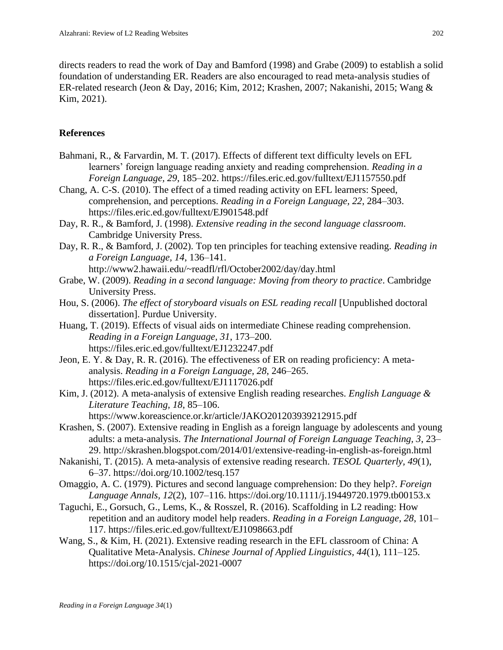directs readers to read the work of Day and Bamford (1998) and Grabe (2009) to establish a solid foundation of understanding ER. Readers are also encouraged to read meta-analysis studies of ER-related research (Jeon & Day, 2016; Kim, 2012; Krashen, 2007; Nakanishi, 2015; Wang & Kim, 2021).

# **References**

- Bahmani, R., & Farvardin, M. T. (2017). Effects of different text difficulty levels on EFL learners' foreign language reading anxiety and reading comprehension. *Reading in a Foreign Language, 29*, 185–202. https://files.eric.ed.gov/fulltext/EJ1157550.pdf
- Chang, A. C-S. (2010). The effect of a timed reading activity on EFL learners: Speed, comprehension, and perceptions. *Reading in a Foreign Language, 22*, 284–303. https://files.eric.ed.gov/fulltext/EJ901548.pdf
- Day, R. R., & Bamford, J. (1998). *Extensive reading in the second language classroom*. Cambridge University Press.
- Day, R. R., & Bamford, J. (2002). Top ten principles for teaching extensive reading. *Reading in a Foreign Language, 14*, 136–141. http://www2.hawaii.edu/~readfl/rfl/October2002/day/day.html
- Grabe, W. (2009). *Reading in a second language: Moving from theory to practice*. Cambridge University Press.
- Hou, S. (2006). *The effect of storyboard visuals on ESL reading recall* [Unpublished doctoral] dissertation]. Purdue University.
- Huang, T. (2019). Effects of visual aids on intermediate Chinese reading comprehension. *Reading in a Foreign Language, 31*, 173–200. https://files.eric.ed.gov/fulltext/EJ1232247.pdf
- Jeon, E. Y. & Day, R. R. (2016). The effectiveness of ER on reading proficiency: A metaanalysis. *Reading in a Foreign Language, 28*, 246–265. https://files.eric.ed.gov/fulltext/EJ1117026.pdf
- Kim, J. (2012). A meta-analysis of extensive English reading researches. *English Language & Literature Teaching, 18*, 85–106. https://www.koreascience.or.kr/article/JAKO201203939212915.pdf
- Krashen, S. (2007). Extensive reading in English as a foreign language by adolescents and young adults: a meta-analysis. *The International Journal of Foreign Language Teaching, 3*, 23– 29. http://skrashen.blogspot.com/2014/01/extensive-reading-in-english-as-foreign.html
- Nakanishi, T. (2015). A meta-analysis of extensive reading research. *TESOL Quarterly, 49*(1), 6–37. https://doi.org/10.1002/tesq.157
- Omaggio, A. C. (1979). Pictures and second language comprehension: Do they help?. *Foreign Language Annals, 12*(2), 107–116. https://doi.org/10.1111/j.19449720.1979.tb00153.x
- Taguchi, E., Gorsuch, G., Lems, K., & Rosszel, R. (2016). Scaffolding in L2 reading: How repetition and an auditory model help readers. *Reading in a Foreign Language, 28*, 101– 117. https://files.eric.ed.gov/fulltext/EJ1098663.pdf
- Wang, S., & Kim, H. (2021). Extensive reading research in the EFL classroom of China: A Qualitative Meta-Analysis. *Chinese Journal of Applied Linguistics, 44*(1), 111–125. https://doi.org/10.1515/cjal-2021-0007